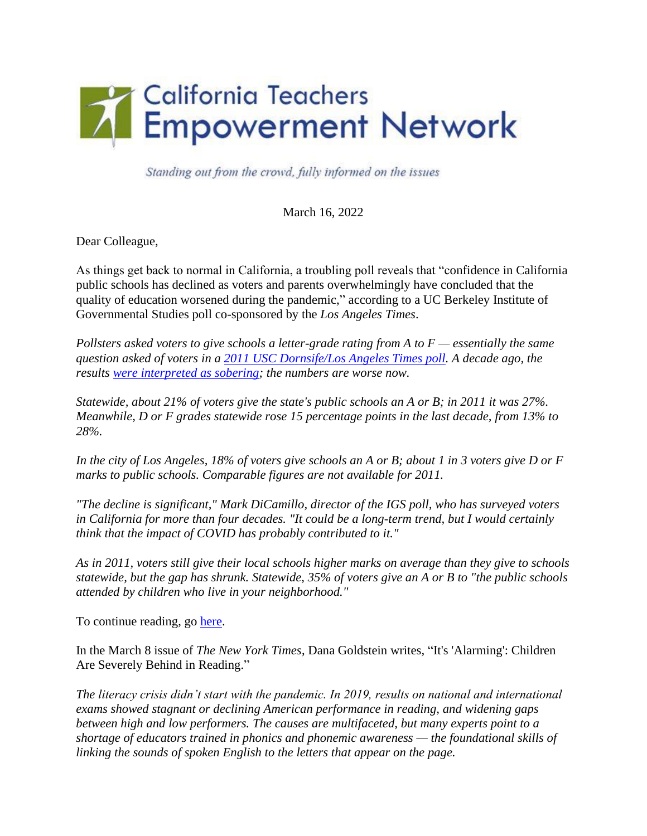

Standing out from the crowd, fully informed on the issues

March 16, 2022

Dear Colleague,

As things get back to normal in California, a troubling poll reveals that "confidence in California public schools has declined as voters and parents overwhelmingly have concluded that the quality of education worsened during the pandemic," according to a UC Berkeley Institute of Governmental Studies poll co-sponsored by the *Los Angeles Times*.

*Pollsters asked voters to give schools a letter-grade rating from A to F — essentially the same question asked of voters in a [2011 USC Dornsife/Los Angeles Times poll.](about:blank) A decade ago, the results [were interpreted as sobering;](about:blank) the numbers are worse now.*

*Statewide, about 21% of voters give the state's public schools an A or B; in 2011 it was 27%. Meanwhile, D or F grades statewide rose 15 percentage points in the last decade, from 13% to 28%.*

*In the city of Los Angeles, 18% of voters give schools an A or B; about 1 in 3 voters give D or F marks to public schools. Comparable figures are not available for 2011.*

*"The decline is significant," Mark DiCamillo, director of the IGS poll, who has surveyed voters in California for more than four decades. "It could be a long-term trend, but I would certainly think that the impact of COVID has probably contributed to it."*

*As in 2011, voters still give their local schools higher marks on average than they give to schools statewide, but the gap has shrunk. Statewide, 35% of voters give an A or B to "the public schools attended by children who live in your neighborhood."* 

To continue reading, go [here.](about:blank)

In the March 8 issue of *The New York Times*, Dana Goldstein writes*,* "It's 'Alarming': Children Are Severely Behind in Reading."

*The literacy crisis didn't start with the pandemic. In 2019, results on national and international exams showed stagnant or declining American performance in reading, and widening gaps between high and low performers. The causes are multifaceted, but many experts point to a shortage of educators trained in phonics and phonemic awareness — the foundational skills of linking the sounds of spoken English to the letters that appear on the page.*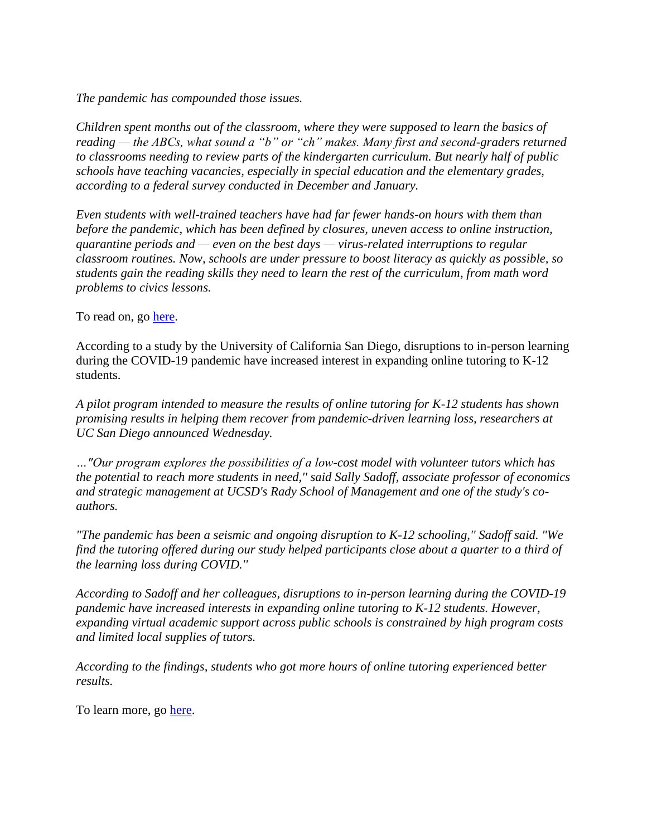*The pandemic has compounded those issues.*

*Children spent months out of the classroom, where they were supposed to learn the basics of reading — the ABCs, what sound a "b" or "ch" makes. Many first and second-graders returned to classrooms needing to review parts of the kindergarten curriculum. But nearly half of public schools have teaching vacancies, especially in special education and the elementary grades, according to a federal survey conducted in December and January.*

*Even students with well-trained teachers have had far fewer hands-on hours with them than before the pandemic, which has been defined by closures, uneven access to online instruction, quarantine periods and — even on the best days — virus-related interruptions to regular classroom routines. Now, schools are under pressure to boost literacy as quickly as possible, so students gain the reading skills they need to learn the rest of the curriculum, from math word problems to civics lessons.*

To read on, go [here.](about:blank)

According to a study by the University of California San Diego, disruptions to in-person learning during the COVID-19 pandemic have increased interest in expanding online tutoring to K-12 students.

*A pilot program intended to measure the results of online tutoring for K-12 students has shown promising results in helping them recover from pandemic-driven learning loss, researchers at UC San Diego announced Wednesday.*

*…"Our program explores the possibilities of a low-cost model with volunteer tutors which has the potential to reach more students in need,'' said Sally Sadoff, associate professor of economics and strategic management at UCSD's Rady School of Management and one of the study's coauthors.*

*"The pandemic has been a seismic and ongoing disruption to K-12 schooling,'' Sadoff said. "We find the tutoring offered during our study helped participants close about a quarter to a third of the learning loss during COVID.''*

*According to Sadoff and her colleagues, disruptions to in-person learning during the COVID-19 pandemic have increased interests in expanding online tutoring to K-12 students. However, expanding virtual academic support across public schools is constrained by high program costs and limited local supplies of tutors.*

*According to the findings, students who got more hours of online tutoring experienced better results.*

To learn more, go [here.](about:blank)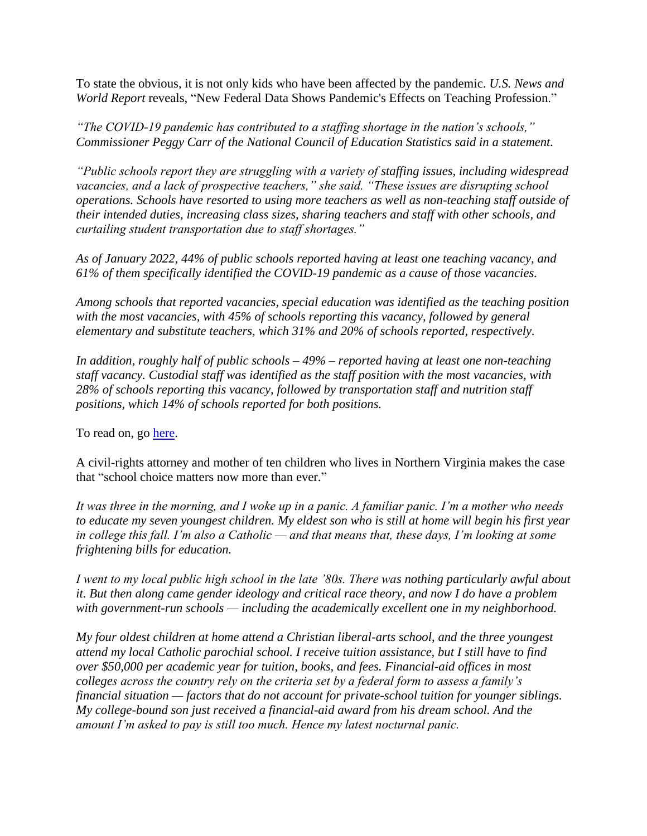To state the obvious, it is not only kids who have been affected by the pandemic. *U.S. News and World Report* reveals, "New Federal Data Shows Pandemic's Effects on Teaching Profession."

*"The COVID-19 pandemic has contributed to a staffing shortage in the nation's schools," Commissioner Peggy Carr of the National Council of Education Statistics said in a statement.*

*"Public schools report they are struggling with a variety of staffing issues, including widespread vacancies, and a lack of prospective teachers," she said. "These issues are disrupting school operations. Schools have resorted to using more teachers as well as non-teaching staff outside of their intended duties, increasing class sizes, sharing teachers and staff with other schools, and curtailing student transportation due to staff shortages."*

*As of January 2022, 44% of public schools reported having at least one teaching vacancy, and 61% of them specifically identified the COVID-19 pandemic as a cause of those vacancies.*

*Among schools that reported vacancies, special education was identified as the teaching position with the most vacancies, with 45% of schools reporting this vacancy, followed by general elementary and substitute teachers, which 31% and 20% of schools reported, respectively.*

*In addition, roughly half of public schools – 49% – reported having at least one non-teaching staff vacancy. Custodial staff was identified as the staff position with the most vacancies, with 28% of schools reporting this vacancy, followed by transportation staff and nutrition staff positions, which 14% of schools reported for both positions.*

To read on, go [here.](about:blank)

A civil-rights attorney and mother of ten children who lives in Northern Virginia makes the case that "school choice matters now more than ever."

*It was three in the morning, and I woke up in a panic. A familiar panic. I'm a mother who needs to educate my seven youngest children. My eldest son who is still at home will begin his first year in college this fall. I'm also a Catholic — and that means that, these days, I'm looking at some frightening bills for education.*

*I went to my local public high school in the late '80s. There was nothing particularly awful about it. But then along came gender ideology and critical race theory, and now I do have a problem with government-run schools — including the academically excellent one in my neighborhood.*

*My four oldest children at home attend a Christian liberal-arts school, and the three youngest attend my local Catholic parochial school. I receive tuition assistance, but I still have to find over \$50,000 per academic year for tuition, books, and fees. Financial-aid offices in most colleges across the country rely on the criteria set by a federal form to assess a family's financial situation — factors that do not account for private-school tuition for younger siblings. My college-bound son just received a financial-aid award from his dream school. And the amount I'm asked to pay is still too much. Hence my latest nocturnal panic.*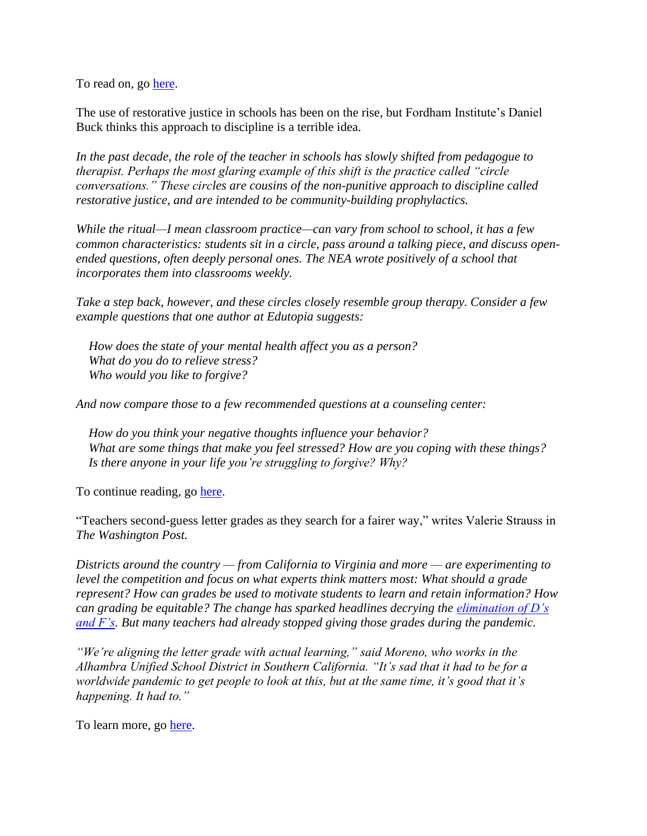To read on, go [here.](about:blank)

The use of restorative justice in schools has been on the rise, but Fordham Institute's Daniel Buck thinks this approach to discipline is a terrible idea.

*In the past decade, the role of the teacher in schools has slowly shifted from pedagogue to therapist. Perhaps the most glaring example of this shift is the practice called "circle conversations." These circles are cousins of the non-punitive approach to discipline called restorative justice, and are intended to be community-building prophylactics.*

*While the ritual—I mean classroom practice—can vary from school to school, it has a few common characteristics: students sit in a circle, pass around a talking piece, and discuss openended questions, often deeply personal ones. The NEA wrote positively of a school that incorporates them into classrooms weekly.*

*Take a step back, however, and these circles closely resemble group therapy. Consider a few example questions that one author at Edutopia suggests:*

 *How does the state of your mental health affect you as a person? What do you do to relieve stress? Who would you like to forgive?*

*And now compare those to a few recommended questions at a counseling center:*

 *How do you think your negative thoughts influence your behavior? What are some things that make you feel stressed? How are you coping with these things? Is there anyone in your life you're struggling to forgive? Why?*

To continue reading, go [here.](about:blank)

"Teachers second-guess letter grades as they search for a fairer way," writes Valerie Strauss in *The Washington Post.*

*Districts around the country — from California to Virginia and more — are experimenting to level the competition and focus on what experts think matters most: What should a grade represent? How can grades be used to motivate students to learn and retain information? How can grading be equitable? The change has sparked headlines decrying the [elimination of D's](about:blank)  [and F's.](about:blank) But many teachers had already stopped giving those grades during the pandemic.* 

*"We're aligning the letter grade with actual learning," said Moreno, who works in the Alhambra Unified School District in Southern California. "It's sad that it had to be for a worldwide pandemic to get people to look at this, but at the same time, it's good that it's happening. It had to."* 

To learn more, go [here.](about:blank)